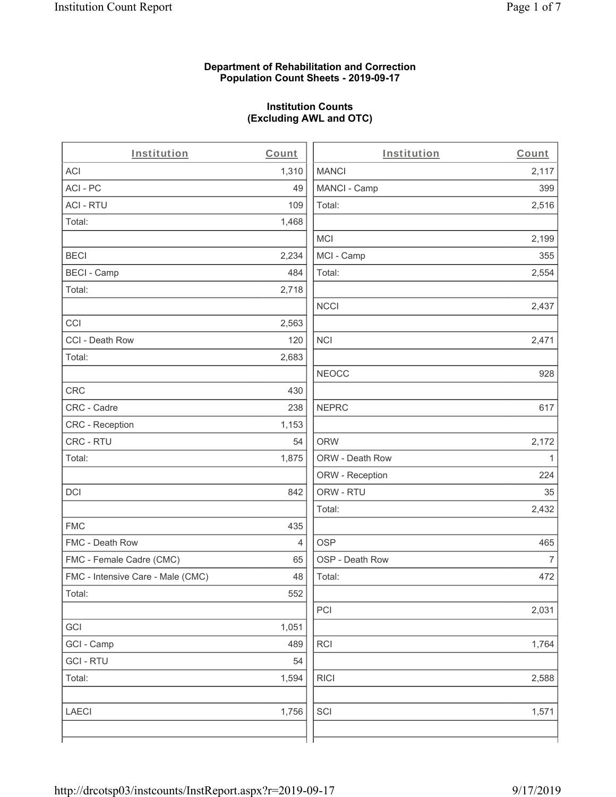### **Department of Rehabilitation and Correction Population Count Sheets - 2019-09-17**

# **Institution Counts (Excluding AWL and OTC)**

| Institution                       | Count | Institution     | Count          |
|-----------------------------------|-------|-----------------|----------------|
| ACI                               | 1,310 | <b>MANCI</b>    | 2,117          |
| ACI-PC                            | 49    | MANCI - Camp    | 399            |
| <b>ACI - RTU</b>                  | 109   | Total:          | 2,516          |
| Total:                            | 1,468 |                 |                |
|                                   |       | <b>MCI</b>      | 2,199          |
| <b>BECI</b>                       | 2,234 | MCI - Camp      | 355            |
| <b>BECI - Camp</b>                | 484   | Total:          | 2,554          |
| Total:                            | 2,718 |                 |                |
|                                   |       | <b>NCCI</b>     | 2,437          |
| CCI                               | 2,563 |                 |                |
| CCI - Death Row                   | 120   | <b>NCI</b>      | 2,471          |
| Total:                            | 2,683 |                 |                |
|                                   |       | <b>NEOCC</b>    | 928            |
| CRC                               | 430   |                 |                |
| CRC - Cadre                       | 238   | <b>NEPRC</b>    | 617            |
| CRC - Reception                   | 1,153 |                 |                |
| CRC - RTU                         | 54    | <b>ORW</b>      | 2,172          |
| Total:                            | 1,875 | ORW - Death Row | 1              |
|                                   |       | ORW - Reception | 224            |
| DCI                               | 842   | ORW - RTU       | 35             |
|                                   |       | Total:          | 2,432          |
| <b>FMC</b>                        | 435   |                 |                |
| FMC - Death Row                   | 4     | <b>OSP</b>      | 465            |
| FMC - Female Cadre (CMC)          | 65    | OSP - Death Row | $\overline{7}$ |
| FMC - Intensive Care - Male (CMC) | 48    | Total:          | 472            |
| Total:                            | 552   |                 |                |
|                                   |       | PCI             | 2,031          |
| GCI                               | 1,051 |                 |                |
| GCI - Camp                        | 489   | RCI             | 1,764          |
| <b>GCI-RTU</b>                    | 54    |                 |                |
| Total:                            | 1,594 | <b>RICI</b>     | 2,588          |
| <b>LAECI</b>                      | 1,756 | SCI             | 1,571          |
|                                   |       |                 |                |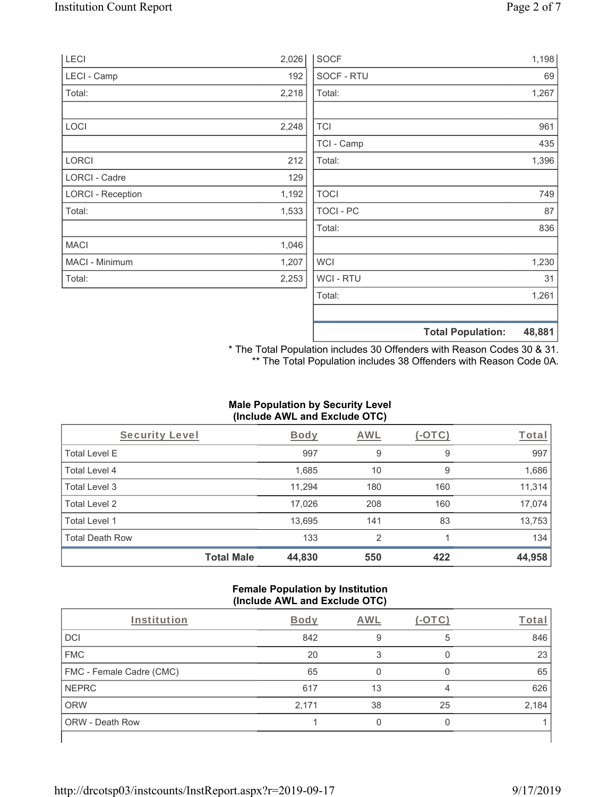| LECI                     | 2,026 | <b>SOCF</b>    | 1,198                              |
|--------------------------|-------|----------------|------------------------------------|
| LECI - Camp              | 192   | SOCF - RTU     | 69                                 |
| Total:                   | 2,218 | Total:         | 1,267                              |
|                          |       |                |                                    |
| <b>LOCI</b>              | 2,248 | <b>TCI</b>     | 961                                |
|                          |       | TCI - Camp     | 435                                |
| <b>LORCI</b>             | 212   | Total:         | 1,396                              |
| <b>LORCI - Cadre</b>     | 129   |                |                                    |
| <b>LORCI - Reception</b> | 1,192 | <b>TOCI</b>    | 749                                |
| Total:                   | 1,533 | TOCI - PC      | 87                                 |
|                          |       | Total:         | 836                                |
| <b>MACI</b>              | 1,046 |                |                                    |
| MACI - Minimum           | 1,207 | <b>WCI</b>     | 1,230                              |
| Total:                   | 2,253 | <b>WCI-RTU</b> | 31                                 |
|                          |       | Total:         | 1,261                              |
|                          |       |                |                                    |
|                          |       |                | 48,881<br><b>Total Population:</b> |

\* The Total Population includes 30 Offenders with Reason Codes 30 & 31. \*\* The Total Population includes 38 Offenders with Reason Code 0A.

# **Male Population by Security Level (Include AWL and Exclude OTC)**

| Security Level         |                   | Body   | <b>AWL</b> | $(-\text{OTC})$ | Total  |
|------------------------|-------------------|--------|------------|-----------------|--------|
| <b>Total Level E</b>   |                   | 997    | 9          | 9               | 997    |
| <b>Total Level 4</b>   |                   | 1,685  | 10         | 9               | 1,686  |
| Total Level 3          |                   | 11,294 | 180        | 160             | 11,314 |
| Total Level 2          |                   | 17,026 | 208        | 160             | 17,074 |
| Total Level 1          |                   | 13,695 | 141        | 83              | 13,753 |
| <b>Total Death Row</b> |                   | 133    | 2          |                 | 134    |
|                        | <b>Total Male</b> | 44,830 | 550        | 422             | 44,958 |

### **Female Population by Institution (Include AWL and Exclude OTC)**

| Institution              | <b>Body</b> | <b>AWL</b> | ' – l | Total |
|--------------------------|-------------|------------|-------|-------|
| <b>DCI</b>               | 842         | 9          | 5     | 846   |
| <b>FMC</b>               | 20          |            |       | 23    |
| FMC - Female Cadre (CMC) | 65          |            |       | 65    |
| <b>NEPRC</b>             | 617         | 13         |       | 626   |
| <b>ORW</b>               | 2,171       | 38         | 25    | 2,184 |
| <b>ORW - Death Row</b>   |             |            |       |       |
|                          |             |            |       |       |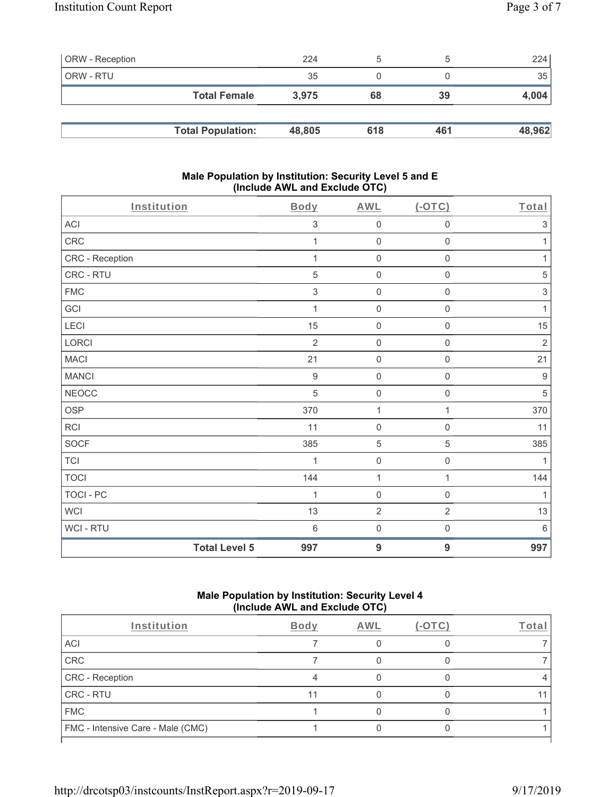| <b>ORW</b> - Reception |                          | 224    | b   |     | 224    |
|------------------------|--------------------------|--------|-----|-----|--------|
| ORW - RTU              |                          | 35     |     |     | 35     |
|                        | <b>Total Female</b>      | 3.975  | 68  | 39  | 4,004  |
|                        |                          |        |     |     |        |
|                        | <b>Total Population:</b> | 48,805 | 618 | 461 | 48,962 |

### **Male Population by Institution: Security Level 5 and E (Include AWL and Exclude OTC)**

| Institution      |                      | <b>Body</b>      | <b>AWL</b>          | $($ -OTC $)$        | Total                     |
|------------------|----------------------|------------------|---------------------|---------------------|---------------------------|
| ACI              |                      | 3                | $\mathbf 0$         | $\mathbf 0$         | 3                         |
| CRC              |                      | 1                | $\mathsf{O}\xspace$ | $\mathsf{O}\xspace$ | 1                         |
| CRC - Reception  |                      |                  | $\mathsf{O}\xspace$ | $\mathsf{O}\xspace$ | 1                         |
| CRC - RTU        |                      | 5                | $\mathsf{O}\xspace$ | $\mathbf 0$         | $\mathbf 5$               |
| <b>FMC</b>       |                      | $\sqrt{3}$       | $\mathsf{O}\xspace$ | $\mathbf 0$         | $\ensuremath{\mathsf{3}}$ |
| GCI              |                      | 1                | $\mathsf{O}\xspace$ | $\mathsf{O}\xspace$ | $\mathbf{1}$              |
| LECI             |                      | 15               | $\mathbf 0$         | 0                   | 15                        |
| LORCI            |                      | $\overline{2}$   | $\mathsf{O}\xspace$ | $\mathsf{O}\xspace$ | $\sqrt{2}$                |
| <b>MACI</b>      |                      | 21               | $\mathsf{O}\xspace$ | $\mathbf 0$         | 21                        |
| <b>MANCI</b>     |                      | $\boldsymbol{9}$ | $\mathsf{O}\xspace$ | $\mathsf{O}\xspace$ | $\boldsymbol{9}$          |
| <b>NEOCC</b>     |                      | 5                | $\mathbf 0$         | $\mathsf{O}\xspace$ | 5                         |
| <b>OSP</b>       |                      | 370              | 1                   | 1                   | 370                       |
| RCI              |                      | 11               | $\mathbf 0$         | $\mathbf 0$         | 11                        |
| <b>SOCF</b>      |                      | 385              | $\,$ 5 $\,$         | $\mathbf 5$         | 385                       |
| <b>TCI</b>       |                      | 1                | $\mathbf 0$         | $\mathsf{O}\xspace$ | 1                         |
| <b>TOCI</b>      |                      | 144              | $\mathbf{1}$        | $\mathbf{1}$        | 144                       |
| <b>TOCI - PC</b> |                      | 1                | $\mathsf{O}\xspace$ | $\mathsf{O}\xspace$ | $\mathbf{1}$              |
| <b>WCI</b>       |                      | 13               | $\sqrt{2}$          | $\overline{2}$      | 13                        |
| WCI - RTU        |                      | $6\,$            | $\mathbf 0$         | $\mathsf{O}\xspace$ | $6\,$                     |
|                  | <b>Total Level 5</b> | 997              | $\overline{9}$      | $\overline{9}$      | 997                       |

# **Male Population by Institution: Security Level 4 (Include AWL and Exclude OTC)**

| Institution                       | <b>Body</b> | AWL | '-OTC' | Total |
|-----------------------------------|-------------|-----|--------|-------|
| ACI                               |             |     |        |       |
| CRC                               |             |     |        |       |
| CRC - Reception                   |             |     |        |       |
| <b>CRC - RTU</b>                  |             |     |        | 11    |
| <b>FMC</b>                        |             |     |        |       |
| FMC - Intensive Care - Male (CMC) |             |     |        |       |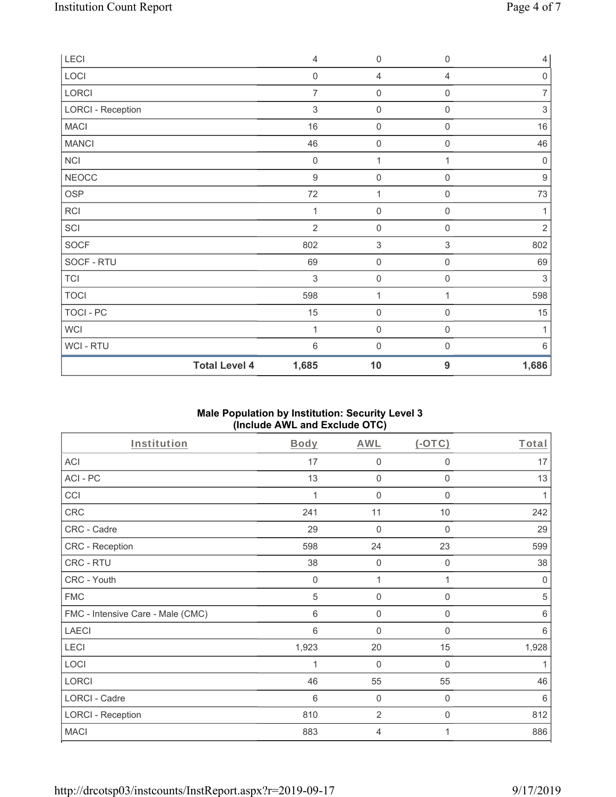| LECI                     |                      | $\overline{4}$ | $\mathbf 0$         | $\mathbf 0$         | $\overline{4}$   |
|--------------------------|----------------------|----------------|---------------------|---------------------|------------------|
| LOCI                     |                      | $\mathbf 0$    | 4                   | 4                   | $\mathbf 0$      |
| LORCI                    |                      | $\overline{7}$ | $\mathbf 0$         | 0                   | $\overline{7}$   |
| <b>LORCI - Reception</b> |                      | $\mathfrak{S}$ | $\mathbf 0$         | $\mathsf{O}\xspace$ | $\sqrt{3}$       |
| <b>MACI</b>              |                      | 16             | $\mathsf{O}\xspace$ | $\mathbf 0$         | 16               |
| <b>MANCI</b>             |                      | 46             | $\mathbf 0$         | $\mathbf 0$         | 46               |
| <b>NCI</b>               |                      | $\mathbf 0$    | $\mathbf{1}$        | 1                   | $\mathbf 0$      |
| <b>NEOCC</b>             |                      | $\overline{9}$ | $\mathbf 0$         | $\mathsf{O}\xspace$ | $\boldsymbol{9}$ |
| <b>OSP</b>               |                      | 72             | $\mathbf{1}$        | $\boldsymbol{0}$    | 73               |
| <b>RCI</b>               |                      | 1              | $\mathbf 0$         | 0                   | 1                |
| SCI                      |                      | $\overline{2}$ | $\mathbf 0$         | 0                   | $\sqrt{2}$       |
| SOCF                     |                      | 802            | $\sqrt{3}$          | $\,$ 3 $\,$         | 802              |
| SOCF - RTU               |                      | 69             | $\mathbf 0$         | $\mathsf{O}\xspace$ | 69               |
| <b>TCI</b>               |                      | $\mathfrak{Z}$ | $\mathsf{O}\xspace$ | $\mathsf{O}\xspace$ | $\sqrt{3}$       |
| <b>TOCI</b>              |                      | 598            | $\mathbf{1}$        | 1                   | 598              |
| TOCI - PC                |                      | 15             | $\mathbf 0$         | $\mathsf{O}\xspace$ | 15               |
| <b>WCI</b>               |                      | 1              | $\mathbf 0$         | $\boldsymbol{0}$    | 1                |
| WCI - RTU                |                      | $6\,$          | $\mathbf 0$         | $\boldsymbol{0}$    | $6\,$            |
|                          | <b>Total Level 4</b> | 1,685          | 10                  | 9                   | 1,686            |

# **Male Population by Institution: Security Level 3 (Include AWL and Exclude OTC)**

| Institution                       | Body  | <b>AWL</b>  | $(-OTC)$         | Total      |
|-----------------------------------|-------|-------------|------------------|------------|
| <b>ACI</b>                        | 17    | 0           | $\mathbf 0$      | 17         |
| ACI-PC                            | 13    | 0           | $\mathbf 0$      | 13         |
| CCI                               | 1     | $\mathbf 0$ | $\mathbf 0$      | 1          |
| CRC                               | 241   | 11          | $10$             | 242        |
| CRC - Cadre                       | 29    | 0           | $\mathbf 0$      | 29         |
| <b>CRC - Reception</b>            | 598   | 24          | 23               | 599        |
| CRC - RTU                         | 38    | $\mathbf 0$ | $\boldsymbol{0}$ | 38         |
| CRC - Youth                       | 0     | 1           |                  | 0          |
| <b>FMC</b>                        | 5     | $\mathbf 0$ | $\mathbf 0$      | $\sqrt{5}$ |
| FMC - Intensive Care - Male (CMC) | 6     | 0           | $\mathbf 0$      | 6          |
| <b>LAECI</b>                      | 6     | 0           | $\mathbf 0$      | 6          |
| LECI                              | 1,923 | 20          | 15               | 1,928      |
| <b>LOCI</b>                       | 1     | 0           | $\mathbf 0$      | 1          |
| <b>LORCI</b>                      | 46    | 55          | 55               | 46         |
| LORCI - Cadre                     | 6     | $\mathbf 0$ | $\mathbf 0$      | 6          |
| <b>LORCI - Reception</b>          | 810   | 2           | 0                | 812        |
| <b>MACI</b>                       | 883   | 4           | 1                | 886        |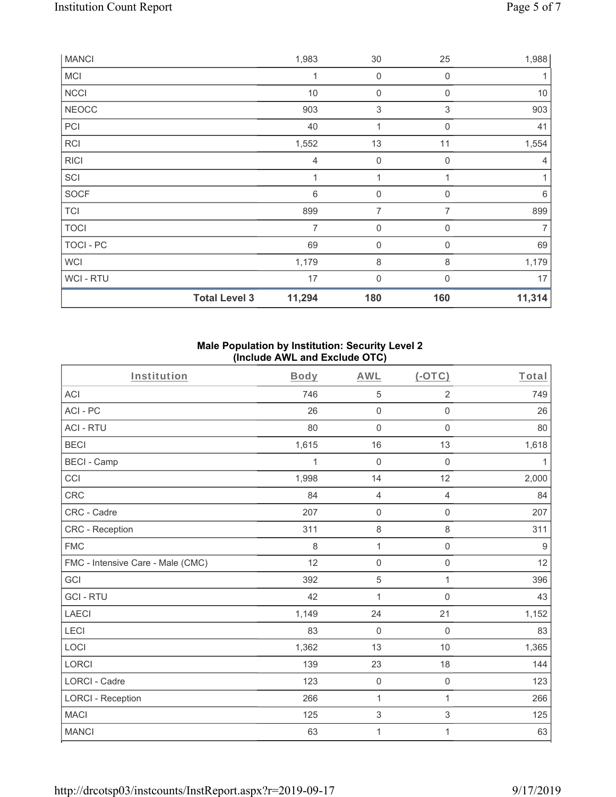| <b>MANCI</b>   |                      | 1,983  | 30                  | 25                        | 1,988  |
|----------------|----------------------|--------|---------------------|---------------------------|--------|
| <b>MCI</b>     |                      | 1      | $\mathsf{O}\xspace$ | $\mathbf 0$               | 1      |
| <b>NCCI</b>    |                      | $10$   | $\mathsf{O}\xspace$ | $\boldsymbol{0}$          | $10$   |
| <b>NEOCC</b>   |                      | 903    | $\,$ 3 $\,$         | $\ensuremath{\mathsf{3}}$ | 903    |
| PCI            |                      | 40     | 1                   | $\mathbf 0$               | 41     |
| <b>RCI</b>     |                      | 1,552  | 13                  | 11                        | 1,554  |
| <b>RICI</b>    |                      | 4      | $\mathsf{O}\xspace$ | $\boldsymbol{0}$          | 4      |
| SCI            |                      | 1      | 1                   | $\mathbf{1}$              | 1      |
| SOCF           |                      | $\,6$  | $\mathsf{O}\xspace$ | $\mathbf 0$               | 6      |
| <b>TCI</b>     |                      | 899    | 7                   | $\overline{7}$            | 899    |
| <b>TOCI</b>    |                      | 7      | 0                   | $\mathbf 0$               | 7      |
| TOCI - PC      |                      | 69     | $\boldsymbol{0}$    | $\mathbf 0$               | 69     |
| WCI            |                      | 1,179  | 8                   | 8                         | 1,179  |
| <b>WCI-RTU</b> |                      | 17     | 0                   | $\Omega$                  | 17     |
|                | <b>Total Level 3</b> | 11,294 | 180                 | 160                       | 11,314 |

### **Male Population by Institution: Security Level 2 (Include AWL and Exclude OTC)**

| Institution                       | <b>Body</b> | <b>AWL</b>                | $($ -OTC $)$        | Total        |
|-----------------------------------|-------------|---------------------------|---------------------|--------------|
| <b>ACI</b>                        | 746         | 5                         | $\overline{2}$      | 749          |
| ACI-PC                            | 26          | $\mathsf{O}\xspace$       | $\mathsf{O}\xspace$ | 26           |
| <b>ACI - RTU</b>                  | 80          | $\mathbf 0$               | $\mathbf 0$         | 80           |
| <b>BECI</b>                       | 1,615       | 16                        | 13                  | 1,618        |
| <b>BECI - Camp</b>                | 1           | $\mathbf 0$               | $\boldsymbol{0}$    | $\mathbf{1}$ |
| CCI                               | 1,998       | 14                        | 12                  | 2,000        |
| <b>CRC</b>                        | 84          | $\overline{4}$            | 4                   | 84           |
| CRC - Cadre                       | 207         | $\mathsf{O}\xspace$       | $\mathsf{O}\xspace$ | 207          |
| CRC - Reception                   | 311         | $\,8\,$                   | $\,8\,$             | 311          |
| <b>FMC</b>                        | 8           | $\mathbf{1}$              | $\mathbf 0$         | $9$          |
| FMC - Intensive Care - Male (CMC) | 12          | $\mathsf{O}\xspace$       | $\mathsf{O}\xspace$ | 12           |
| GCI                               | 392         | $\sqrt{5}$                | 1                   | 396          |
| <b>GCI-RTU</b>                    | 42          | $\mathbf{1}$              | $\mathbf 0$         | 43           |
| <b>LAECI</b>                      | 1,149       | 24                        | 21                  | 1,152        |
| LECI                              | 83          | $\mathsf{O}\xspace$       | $\boldsymbol{0}$    | 83           |
| LOCI                              | 1,362       | 13                        | 10                  | 1,365        |
| <b>LORCI</b>                      | 139         | 23                        | 18                  | 144          |
| <b>LORCI - Cadre</b>              | 123         | $\mathsf{O}\xspace$       | $\mathsf{O}\xspace$ | 123          |
| <b>LORCI - Reception</b>          | 266         | 1                         | 1                   | 266          |
| <b>MACI</b>                       | 125         | $\ensuremath{\mathsf{3}}$ | $\,$ 3 $\,$         | 125          |
| <b>MANCI</b>                      | 63          | 1                         | 1                   | 63           |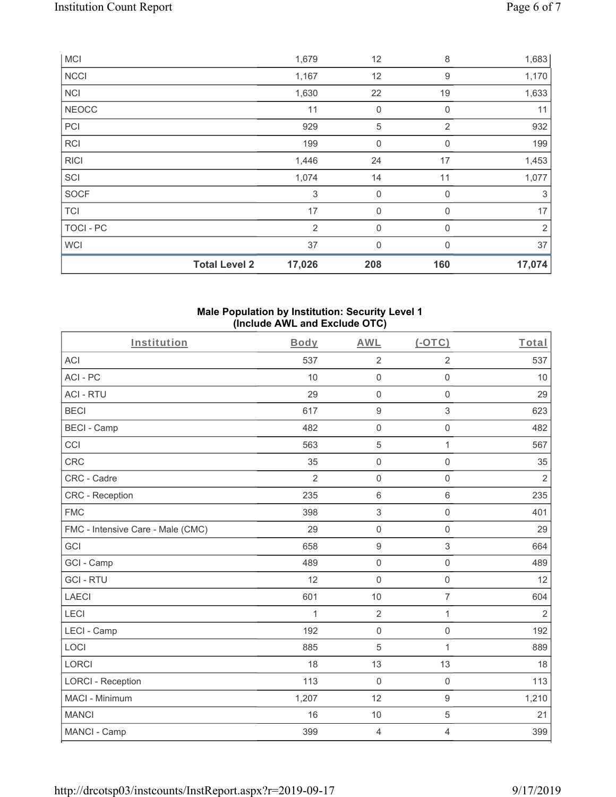|                  | <b>Total Level 2</b> | 17,026 | 208          | 160          | 17,074         |
|------------------|----------------------|--------|--------------|--------------|----------------|
| <b>WCI</b>       |                      | 37     | $\mathbf{0}$ | $\mathbf{0}$ | 37             |
| <b>TOCI - PC</b> |                      | 2      | $\mathbf{0}$ | $\Omega$     | $\overline{2}$ |
| <b>TCI</b>       |                      | 17     | $\mathbf 0$  | $\mathbf 0$  | 17             |
| SOCF             |                      | 3      | $\mathbf 0$  | 0            | 3              |
| SCI              |                      | 1,074  | 14           | 11           | 1,077          |
| <b>RICI</b>      |                      | 1,446  | 24           | 17           | 1,453          |
| <b>RCI</b>       |                      | 199    | $\mathbf 0$  | $\mathbf 0$  | 199            |
| PCI              |                      | 929    | 5            | 2            | 932            |
| <b>NEOCC</b>     |                      | 11     | $\mathbf 0$  | $\mathbf 0$  | 11             |
| <b>NCI</b>       |                      | 1,630  | 22           | 19           | 1,633          |
| <b>NCCI</b>      |                      | 1,167  | 12           | 9            | 1,170          |
| <b>MCI</b>       |                      | 1,679  | 12           | 8            | 1,683          |

#### **Male Population by Institution: Security Level 1 (Include AWL and Exclude OTC)**

| Institution                       | Body           | <b>AWL</b>                | (OTC)               | Total          |
|-----------------------------------|----------------|---------------------------|---------------------|----------------|
| <b>ACI</b>                        | 537            | $\overline{2}$            | $\overline{2}$      | 537            |
| ACI-PC                            | 10             | $\mathsf{O}\xspace$       | $\mathsf{O}\xspace$ | 10             |
| <b>ACI - RTU</b>                  | 29             | $\mathbf 0$               | 0                   | 29             |
| <b>BECI</b>                       | 617            | $\boldsymbol{9}$          | 3                   | 623            |
| <b>BECI - Camp</b>                | 482            | $\mathsf{O}\xspace$       | $\mathsf 0$         | 482            |
| CCI                               | 563            | $\sqrt{5}$                | 1                   | 567            |
| <b>CRC</b>                        | 35             | $\mathsf{O}\xspace$       | $\mathsf{O}\xspace$ | 35             |
| CRC - Cadre                       | $\overline{2}$ | $\mathbf 0$               | $\mathbf 0$         | $\overline{2}$ |
| CRC - Reception                   | 235            | $6\phantom{1}$            | $6\,$               | 235            |
| <b>FMC</b>                        | 398            | $\ensuremath{\mathsf{3}}$ | $\mathsf 0$         | 401            |
| FMC - Intensive Care - Male (CMC) | 29             | $\mathbf 0$               | $\mathbf 0$         | 29             |
| GCI                               | 658            | $\boldsymbol{9}$          | $\mathfrak{S}$      | 664            |
| GCI - Camp                        | 489            | $\mathbf 0$               | $\mathsf 0$         | 489            |
| <b>GCI-RTU</b>                    | 12             | $\mathbf 0$               | $\mathsf{O}\xspace$ | 12             |
| <b>LAECI</b>                      | 601            | 10                        | $\overline{7}$      | 604            |
| LECI                              | $\mathbf{1}$   | $\overline{2}$            | $\mathbf{1}$        | $\overline{2}$ |
| LECI - Camp                       | 192            | $\mathbf 0$               | $\mathsf{O}\xspace$ | 192            |
| LOCI                              | 885            | 5                         | $\mathbf{1}$        | 889            |
| <b>LORCI</b>                      | 18             | 13                        | 13                  | 18             |
| <b>LORCI - Reception</b>          | 113            | $\mathbf 0$               | $\mathbf 0$         | 113            |
| MACI - Minimum                    | 1,207          | 12                        | $\boldsymbol{9}$    | 1,210          |
| <b>MANCI</b>                      | 16             | 10                        | 5                   | 21             |
| MANCI - Camp                      | 399            | $\overline{4}$            | 4                   | 399            |